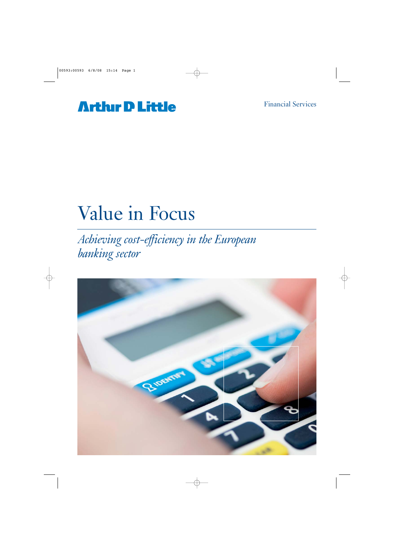## **Arthur D Little**

# Value in Focus

*Achieving cost-efficiency in the European banking sector*

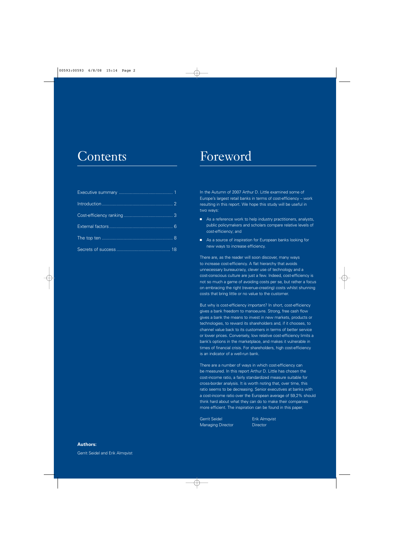## **Contents**

## Foreword

In the Autumn of 2007 Arthur D. Little examined some of Europe's largest retail banks in terms of cost-efficiency – work resulting in this report. We hope this study will be useful in two ways:

- As a reference work to help industry practitioners, analysts, public policymakers and scholars compare relative levels of cost-efficiency; and
- As a source of inspiration for European banks looking for new ways to increase efficiency.

There are, as the reader will soon discover, many ways to increase cost-efficiency. A flat hierarchy that avoids unnecessary bureaucracy, clever use of technology and a cost-conscious culture are just a few. Indeed, cost-efficiency is not so much a game of avoiding costs per se, but rather a focus on embracing the right (revenue-creating) costs whilst shunning costs that bring little or no value to the customer.

But why is cost-efficiency important? In short, cost-efficiency gives a bank freedom to manoeuvre. Strong, free cash flow gives a bank the means to invest in new markets, products or technologies, to reward its shareholders and, if it chooses, to channel value back to its customers in terms of better service or lower prices. Conversely, low relative cost-efficiency limits a bank's options in the marketplace, and makes it vulnerable in times of financial crisis. For shareholders, high cost-efficiency is an indicator of a well-run bank.

There are a number of ways in which cost-efficiency can be measured. In this report Arthur D. Little has chosen the cost-income ratio, a fairly standardized measure suitable for cross-border analysis. It is worth noting that, over time, this ratio seems to be decreasing. Senior executives at banks with a cost-income ratio over the European average of 59,2% should think hard about what they can do to make their companies more efficient. The inspiration can be found in this paper.

Gerrit Seidel **Erik Almgvist** Managing Director **Director**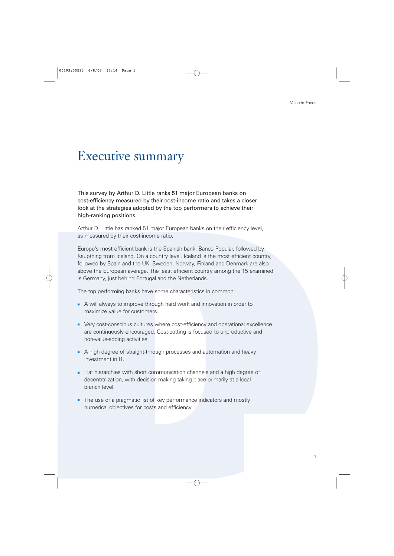## Executive summary

This survey by Arthur D. Little ranks 51 major European banks on cost-efficiency measured by their cost-income ratio and takes a closer look at the strategies adopted by the top performers to achieve their high-ranking positions.

Arthur D. Little has ranked 51 major European banks on their efficiency level, as measured by their cost-income ratio.

Europe's most efficient bank is the Spanish bank, Banco Popular, followed by Kaupthing from Iceland. On a country level, Iceland is the most efficient country, followed by Spain and the UK. Sweden, Norway, Finland and Denmark are also above the European average. The least efficient country among the 15 examined is Germany, just behind Portugal and the Netherlands.

The top performing banks have some characteristics in common:

- A will always to improve through hard work and innovation in order to maximize value for customers.
- Very cost-conscious cultures where cost-efficiency and operational excellence are continuously encouraged. Cost-cutting is focused to unproductive and non-value-adding activities.
- A high degree of straight-through processes and automation and heavy investment in IT.
- Flat hierarchies with short communication channels and a high degree of decentralization, with decision-making taking place primarily at a local branch level.
- The use of a pragmatic list of key performance indicators and mostly numerical objectives for costs and efficiency.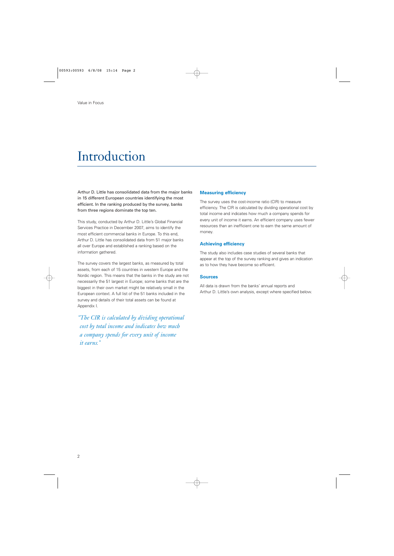## Introduction

Arthur D. Little has consolidated data from the major banks in 15 different European countries identifying the most efficient. In the ranking produced by the survey, banks from three regions dominate the top ten.

This study, conducted by Arthur D. Little's Global Financial Services Practice in December 2007, aims to identify the most efficient commercial banks in Europe. To this end, Arthur D. Little has consolidated data from 51 major banks all over Europe and established a ranking based on the information gathered.

The survey covers the largest banks, as measured by total assets, from each of 15 countries in western Europe and the Nordic region. This means that the banks in the study are not necessarily the 51 largest in Europe; some banks that are the biggest in their own market might be relatively small in the European context. A full list of the 51 banks included in the survey and details of their total assets can be found at Appendix I.

*"The CIR is calculated by dividing operational cost by total income and indicates how much a company spends for every unit of income it earns."*

#### **Measuring efficiency**

The survey uses the cost-income ratio (CIR) to measure efficiency. The CIR is calculated by dividing operational cost by total income and indicates how much a company spends for every unit of income it earns. An efficient company uses fewer resources than an inefficient one to earn the same amount of money.

#### **Achieving efficiency**

The study also includes case studies of several banks that appear at the top of the survey ranking and gives an indication as to how they have become so efficient.

#### **Sources**

All data is drawn from the banks' annual reports and Arthur D. Little's own analysis, except where specified below.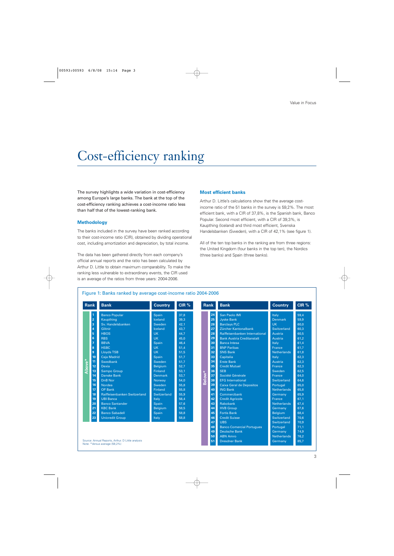## Cost-efficiency ranking

The survey highlights a wide variation in cost-efficiency among Europe's large banks. The bank at the top of the cost-efficiency ranking achieves a cost-income ratio less than half that of the lowest-ranking bank.

#### **Methodology**

The banks included in the survey have been ranked according to their cost-income ratio (CIR), obtained by dividing operational cost, including amortization and depreciation, by total income.

The data has been gathered directly from each company's official annual reports and the ratio has been calculated by Arthur D. Little to obtain maximum comparability. To make the ranking less vulnerable to extraordinary events, the CIR used is an average of the ratios from three years: 2004-2006.

#### **Most efficient banks**

Arthur D. Little's calculations show that the average costincome ratio of the 51 banks in the survey is 59,2%. The most efficient bank, with a CIR of 37,8%, is the Spanish bank, Banco Popular. Second most efficient, with a CIR of 39,3%, is Kaupthing (Iceland) and third most efficient, Svenska Handelsbanken (Sweden), with a CIR of 42,1% (see figure 1).

All of the ten top banks in the ranking are from three regions: the United Kingdom (four banks in the top ten), the Nordics (three banks) and Spain (three banks).

#### Figure 1: Banks ranked by average cost-income ratio 2004-2006

| <b>Banco Popular</b><br>San Paolo IMI<br>$\overline{1}$<br>Spain<br>37,8<br>24<br>Italy<br>$\overline{2}$<br>25<br>Kaupthing<br>39,3<br>Iceland<br><b>Jyske Bank</b><br><b>Denmark</b><br><b>Barclays PLC</b><br><b>UK</b><br>3<br>Sv. Handelsbanken<br>42,1<br>26<br>Sweden<br>$\overline{4}$<br>Glitnir<br>27<br>Zürcher Kantonalbank<br>Switzerland<br>Iceland<br>43,7<br>$\overline{5}$<br><b>HBOS</b><br><b>UK</b><br>44,7<br>28<br>Raiffeisenbanken International<br>Austria<br>$6\phantom{a}$<br><b>RBS</b><br><b>UK</b><br>29<br><b>Bank Austria Creditanstalt</b><br>45,0<br>Austria<br><b>BBVA</b><br>46.4<br>30<br><b>Banca Intesa</b><br>$\overline{1}$<br>Spain<br>Italy<br>31<br>8<br><b>HSBC</b><br><b>UK</b><br><b>BNP Paribas</b><br>51,4<br>France<br><b>Lloyds TSB</b><br><b>UK</b><br>$\overline{9}$<br>51,5<br>32<br><b>SNS Bank</b><br><b>Netherlands</b><br><b>Caja Madrid</b><br>51,7<br>33<br>Capitalia<br>Italy<br>10<br>Spain<br>Above*<br>11<br>34<br>Swedbank<br>Sweden<br>51,7<br><b>Erste Bank</b><br>Austria<br>12<br>Dexia<br><b>Belgium</b><br>35<br><b>Credit Mutuel</b><br>52,7<br>France<br>13<br><b>Sampo Group</b><br><b>Finland</b><br><b>SEB</b><br>53,1<br>36<br>Sweden<br>Below <sup>*</sup><br>14<br>37<br>Société Générale<br><b>Danske Bank</b><br>53,7<br><b>France</b><br><b>Denmark</b><br><b>DnB Nor</b><br>38<br>15<br>54,0<br><b>EFG International</b><br>Switzerland<br>Norway<br>Sweden<br>39<br>16<br><b>Nordea</b><br>55.8<br><b>Caixa Geral de Depositos</b><br>Portugal<br>40<br>17<br><b>ING Bank</b><br><b>OP Bank</b><br>Finland<br>55,8<br><b>Netherlands</b> | <b>Rank</b> | <b>Bank</b>                  | <b>Country</b> | CIR % | <b>Rank</b> |    | <b>Bank</b> | <b>Country</b> | CIR%                                                                                                                                                                                                 |
|-----------------------------------------------------------------------------------------------------------------------------------------------------------------------------------------------------------------------------------------------------------------------------------------------------------------------------------------------------------------------------------------------------------------------------------------------------------------------------------------------------------------------------------------------------------------------------------------------------------------------------------------------------------------------------------------------------------------------------------------------------------------------------------------------------------------------------------------------------------------------------------------------------------------------------------------------------------------------------------------------------------------------------------------------------------------------------------------------------------------------------------------------------------------------------------------------------------------------------------------------------------------------------------------------------------------------------------------------------------------------------------------------------------------------------------------------------------------------------------------------------------------------------------------------------------------------------------------------------------------------------|-------------|------------------------------|----------------|-------|-------------|----|-------------|----------------|------------------------------------------------------------------------------------------------------------------------------------------------------------------------------------------------------|
| <b>UBI Banca</b><br>42<br>19<br>56.4<br><b>Credit Agricole</b><br>France<br>Italy<br>20<br>43<br><b>Banco Santander</b><br>Rabobank<br>57,6<br><b>Netherlands</b><br>Spain<br><b>KBC Bank</b><br>44<br>21<br><b>Belgium</b><br>58,5<br><b>HVB Group</b><br>Germany<br>22<br><b>Banco Sabadell</b><br>45<br><b>Fortis Bank</b><br>Spain<br>58,8<br><b>Belgium</b><br>46<br><b>Credit Suisse</b><br>23<br><b>Unicredit Group</b><br>Switzerland<br>Italy<br>58,8<br>47<br><b>UBS</b><br>Switzerland<br>48<br><b>Banco Comercial Portugues</b><br>Portugal                                                                                                                                                                                                                                                                                                                                                                                                                                                                                                                                                                                                                                                                                                                                                                                                                                                                                                                                                                                                                                                                     | 18          | Raiffeisenbanken Switzerland | Switzerland    | 55,9  |             | 41 | Commerzbank | Germany        | 59,4<br>59,9<br>60,0<br>60.3<br>60,5<br>61,2<br>61.4<br>61,7<br>61,8<br>62.3<br>62,3<br>62,3<br>62,5<br>64,0<br>64,6<br>65.0<br>65,8<br>65,9<br>67.1<br>67,4<br>67,6<br>68,4<br>70.6<br>70,9<br>71,1 |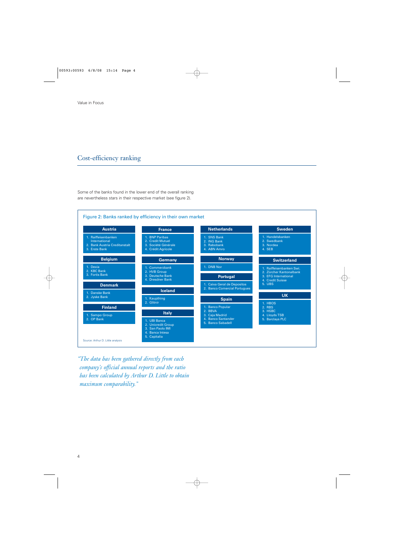## Cost-efficiency ranking

Some of the banks found in the lower end of the overall ranking are nevertheless stars in their respective market (see figure 2).



*"The data has been gathered directly from each company's official annual reports and the ratio has been calculated by Arthur D. Little to obtain maximum comparability."*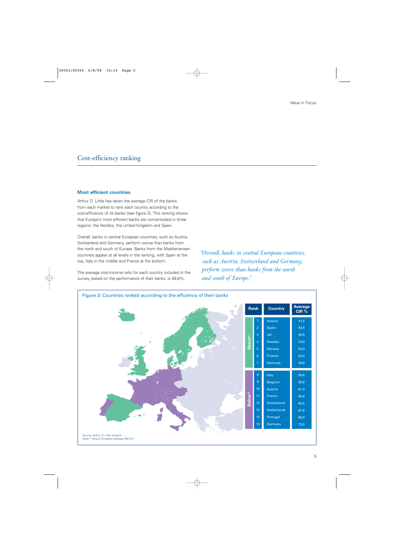## Cost-efficiency ranking

#### **Most efficient countries**

Arthur D. Little has taken the average CIR of the banks from each market to rank each country according to the cost-efficiency of its banks (see figure 3). This ranking shows that Europe's most efficient banks are concentrated in three regions: the Nordics, the United Kingdom and Spain.

Overall, banks in central European countries, such as Austria, Switzerland and Germany, perform worse than banks from the north and south of Europe. Banks from the Mediterranean countries appear at all levels in the ranking, with Spain at the top, Italy in the middle and France at the bottom.

The average cost-income ratio for each country included in the survey, based on the performance of their banks, is 58,6%.

*"Overall, banks in central European countries, such as Austria, Switzerland and Germany, perform worse than banks from the north and south of Europe."*

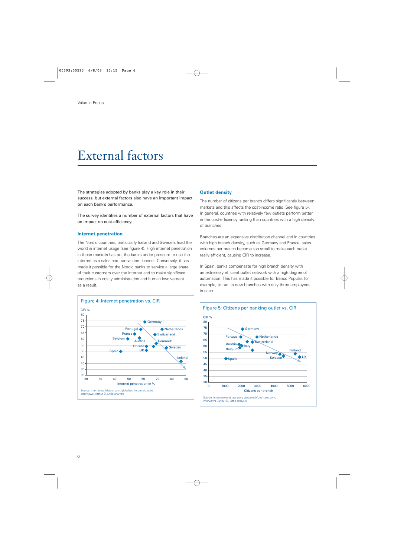## External factors

The strategies adopted by banks play a key role in their success, but external factors also have an important impact on each bank's performance.

The survey identifies a number of external factors that have an impact on cost-efficiency.

#### **Internet penetration**

The Nordic countries, particularly Iceland and Sweden, lead the world in internet usage (see figure 4). High internet penetration in these markets has put the banks under pressure to use the internet as a sales and transaction channel. Conversely, it has made it possible for the Nordic banks to service a large share of their customers over the internet and to make significant reductions in costly administration and human involvement as a result.



#### **Outlet density**

The number of citizens per branch differs significantly between markets and this affects the cost-income ratio (See figure 5). In general, countries with relatively few outlets perform better in the cost-efficiency ranking than countries with a high density of branches.

Branches are an expensive distribution channel and in countries with high branch density, such as Germany and France, sales volumes per branch become too small to make each outlet really efficient, causing CIR to increase.

In Spain, banks compensate for high branch density with an extremely efficient outlet network with a high degree of automation. This has made it possible for Banco Popular, for example, to run its new branches with only three employees in each.

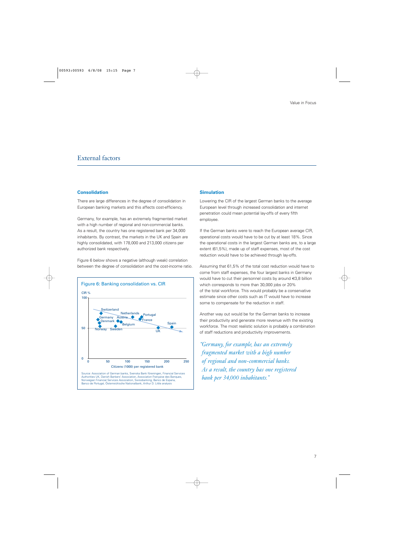### External factors

#### **Consolidation**

There are large differences in the degree of consolidation in European banking markets and this affects cost-efficiency.

Germany, for example, has an extremely fragmented market with a high number of regional and non-commercial banks. As a result, the country has one registered bank per 34,000 inhabitants. By contrast, the markets in the UK and Spain are highly consolidated, with 178,000 and 213,000 citizens per authorized bank respectively.

Figure 6 below shows a negative (although weak) correlation between the degree of consolidation and the cost-income ratio.



#### **Simulation**

Lowering the CIR of the largest German banks to the average European level through increased consolidation and internet penetration could mean potential lay-offs of every fifth employee.

If the German banks were to reach the European average CIR, operational costs would have to be cut by at least 18%. Since the operational costs in the largest German banks are, to a large extent (61,5%), made up of staff expenses, most of the cost reduction would have to be achieved through lay-offs.

Assuming that 61,5% of the total cost reduction would have to come from staff expenses, the four largest banks in Germany would have to cut their personnel costs by around €3,8 billion which corresponds to more than 30,000 jobs or 20% of the total workforce. This would probably be a conservative estimate since other costs such as IT would have to increase some to compensate for the reduction in staff.

Another way out would be for the German banks to increase their productivity and generate more revenue with the existing workforce. The most realistic solution is probably a combination of staff reductions and productivity improvements.

*"Germany, for example, has an extremely fragmented market with a high number of regional and non-commercial banks. As a result, the country has one registered bank per 34,000 inhabitants."*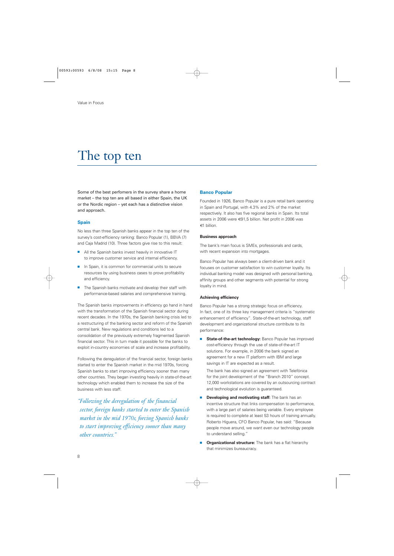Some of the best perfomers in the survey share a home market – the top ten are all based in either Spain, the UK or the Nordic region – yet each has a distinctive vision and approach.

#### **Spain**

No less than three Spanish banks appear in the top ten of the survey's cost-efficiency ranking: Banco Popular (1), BBVA (7) and Caja Madrid (10). Three factors give rise to this result:

- All the Spanish banks invest heavily in innovative IT to improve customer service and internal efficiency.
- In Spain, it is common for commercial units to secure resources by using business cases to prove profitability and efficiency.
- The Spanish banks motivate and develop their staff with performance-based salaries and comprehensive training.

The Spanish banks improvements in efficiency go hand in hand with the transformation of the Spanish financial sector during recent decades. In the 1970s, the Spanish banking crisis led to a restructuring of the banking sector and reform of the Spanish central bank. New regulations and conditions led to a consolidation of the previously extremely fragmented Spanish financial sector. This in turn made it possible for the banks to exploit in-country economies of scale and increase profitability.

Following the deregulation of the financial sector, foreign banks started to enter the Spanish market in the mid 1970s, forcing Spanish banks to start improving efficiency sooner than many other countries. They began investing heavily in state-of-the-art technology which enabled them to increase the size of the business with less staff.

*"Following the deregulation of the financial sector, foreign banks started to enter the Spanish market in the mid 1970s, forcing Spanish banks to start improving efficiency sooner than many other countries."*

#### **Banco Popular**

Founded in 1926, Banco Popular is a pure retail bank operating in Spain and Portugal, with 4.3% and 2% of the market respectively. It also has five regional banks in Spain. Its total assets in 2006 were €91,5 billion. Net profit in 2006 was €1 billion.

#### **Business approach**

The bank's main focus is SMEs, professionals and cards, with recent expansion into mortgages.

Banco Popular has always been a client-driven bank and it focuses on customer satisfaction to win customer loyalty. Its individual banking model was designed with personal banking, affinity groups and other segments with potential for strong loyalty in mind.

#### **Achieving efficiency**

Banco Popular has a strong strategic focus on efficiency. In fact, one of its three key management criteria is "systematic enhancement of efficiency". State-of-the-art technology, staff development and organizational structure contribute to its performance:

**State-of-the-art technology: Banco Popular has improved** cost-efficiency through the use of state-of-the-art IT solutions. For example, in 2006 the bank signed an agreement for a new IT platform with IBM and large savings in IT are expected as a result.

The bank has also signed an agreement with Telefónica for the joint development of the "Branch 2010" concept. 12,000 workstations are covered by an outsourcing contract and technological evolution is guaranteed.

- **Developing and motivating staff:** The bank has an incentive structure that links compensation to performance, with a large part of salaries being variable. Every employee is required to complete at least 53 hours of training annually. Roberto Higuera, CFO Banco Popular, has said: "Because people move around, we want even our technology people to understand selling."
- **Organizational structure:** The bank has a flat hierarchy that minimizes bureaucracy.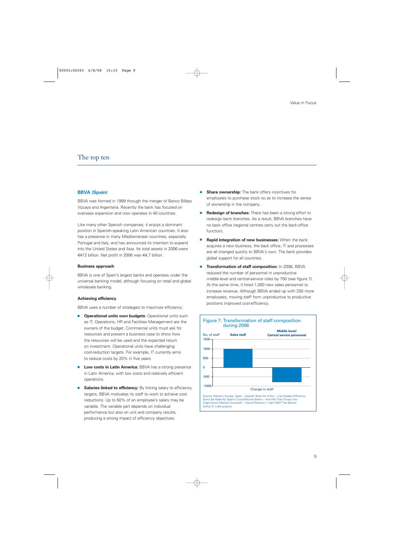#### **BBVA (Spain)**

BBVA was formed in 1999 through the merger of Banco Bilbao Vizcaya and Argentaria. Recently the bank has focused on overseas expansion and now operates in 40 countries.

Like many other Spanish companies, it enjoys a dominant position in Spanish-speaking Latin American countries. It also has a presence in many Mediterranean countries, especially Portugal and Italy, and has announced its intention to expand into the United States and Asia. Its total assets in 2006 were €412 billion. Net profit in 2006 was €4,7 billion.

#### **Business approach**

BBVA is one of Spain's largest banks and operates under the universal banking model, although focusing on retail and global wholesale banking.

#### **Achieving efficiency**

BBVA uses a number of strategies to maximize efficiency:

- **Operational units own budgets: Operational units such** as IT, Operations, HR and Facilities Management are the owners of the budget. Commercial units must ask for resources and present a business case to show how the resources will be used and the expected return on investment. Operational units have challenging cost-reduction targets. For example, IT currently aims to reduce costs by 20% in five years.
- **Low costs in Latin America:** BBVA has a strong presence in Latin America, with low costs and relatively efficient operations.
- **Salaries linked to efficiency:** By linking salary to efficiency targets, BBVA motivates its staff to work to achieve cost reductions. Up to 50% of an employee's salary may be variable. The variable part depends on individual performance but also on unit and company results, producing a strong impact of efficiency objectives.
- **Share ownership:** The bank offers incentives for employees to purchase stock so as to increase the sense of ownership in the company.
- **Redesign of branches:** There has been a strong effort to redesign bank branches. As a result, BBVA branches have no back office (regional centres carry out the back-office function).
- **Rapid integration of new businesses:** When the bank acquires a new business, the back office, IT and processes are all changed quickly to BBVA´s own. The bank provides global support for all countries.
- **Transformation of staff composition:** In 2006, BBVA reduced the number of personnel in unproductive middle-level and central-service roles by 750 (see figure 7). At the same time, it hired 1,000 new sales personnel to increase revenue. Although BBVA ended up with 250 more employees, moving staff from unproductive to productive positions improved cost-efficiency.

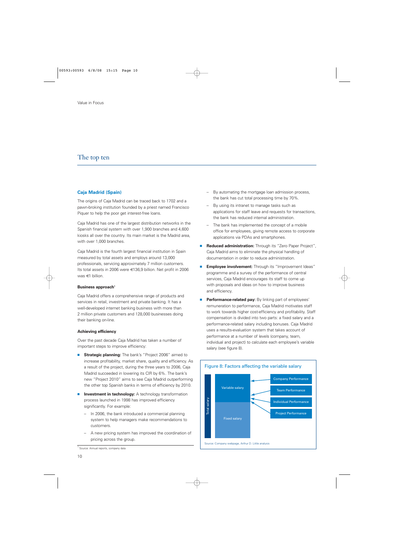#### **Caja Madrid (Spain)**

The origins of Caja Madrid can be traced back to 1702 and a pawn-broking institution founded by a priest named Francisco Piquer to help the poor get interest-free loans.

Caja Madrid has one of the largest distribution networks in the Spanish financial system with over 1,900 branches and 4,600 kiosks all over the country. Its main market is the Madrid area, with over 1,000 branches.

Caja Madrid is the fourth largest financial institution in Spain measured by total assets and employs around 13,000 professionals, servicing approximately 7 million customers. Its total assets in 2006 were €136,9 billion. Net profit in 2006 was €1 billion.

#### **Business approach<sup>1</sup>**

Caja Madrid offers a comprehensive range of products and services in retail, investment and private banking. It has a well-developed internet banking business with more than 2 million private customers and 128,000 businesses doing their banking on-line.

#### **Achieving efficiency**

Over the past decade Caja Madrid has taken a number of important steps to improve efficiency:

- **Strategic planning:** The bank's "Project 2006" aimed to increase profitability, market share, quality and efficiency. As a result of the project, during the three years to 2006, Caja Madrid succeeded in lowering its CIR by 6%. The bank's new "Project 2010" aims to see Caja Madrid outperforming the other top Spanish banks in terms of efficiency by 2010.
- **Investment in technology:** A technology transformation process launched in 1998 has improved efficiency significantly. For example:
	- In 2006, the bank introduced a commercial planning system to help managers make recommendations to customers.
	- A new pricing system has improved the coordination of pricing across the group.
- By automating the mortgage loan admission process, the bank has cut total processing time by 70%.
- By using its intranet to manage tasks such as applications for staff leave and requests for transactions, the bank has reduced internal administration.
- The bank has implemented the concept of a mobile office for employees, giving remote access to corporate applications via PDAs and smartphones.
- **Reduced administration:** Through its "Zero Paper Project", Caja Madrid aims to eliminate the physical handling of documentation in order to reduce administration.
- **Employee involvement:** Through its "Improvement Ideas" programme and a survey of the performance of central services, Caja Madrid encourages its staff to come up with proposals and ideas on how to improve business and efficiency.
- **Performance-related pay:** By linking part of employees' remuneration to performance, Caja Madrid motivates staff to work towards higher cost-efficiency and profitability. Staff compensation is divided into two parts: a fixed salary and a performance-related salary including bonuses. Caja Madrid uses a results-evaluation system that takes account of performance at a number of levels (company, team, individual and project) to calculate each employee's variable salary (see figure 8).



<sup>1</sup> Source: Annual reports, company data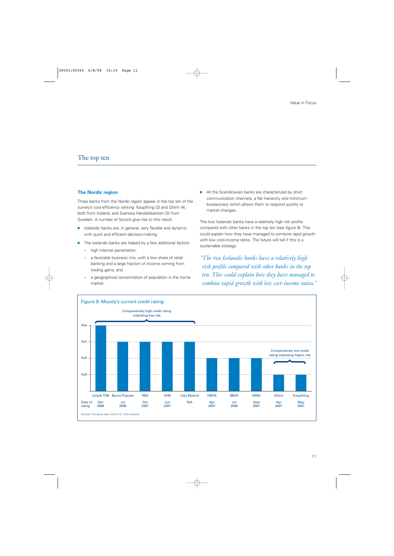#### **The Nordic region**

Three banks from the Nordic region appear in the top ten of the survey's cost-efficiency ranking: Kaupthing (2) and Glitnir (4), both from Iceland, and Svenska Handelsbanken (3) from Sweden. A number of factors give rise to this result:

- Icelandic banks are, in general, very flexible and dynamic with quick and efficient decision-making.
- The Icelandic banks are helped by a few additional factors:
	- high internet penetration;
	- a favorable business mix, with a low share of retail banking and a large fraction of income coming from trading gains; and
	- a geographical concentration of population in the home market.

■ All the Scandinavian banks are characterized by short communication channels, a flat hierarchy and minimum bureaucracy which allows them to respond quickly to market changes.

The two Icelandic banks have a relatively high risk profile compared with other banks in the top ten (see figure 9). This could explain how they have managed to combine rapid growth with low cost-income ratios. The future will tell if this is a sustainable strategy

*"The two Icelandic banks have a relatively high risk profile compared with other banks in the top ten. This could explain how they have managed to combine rapid growth with low cost-income ratios."*

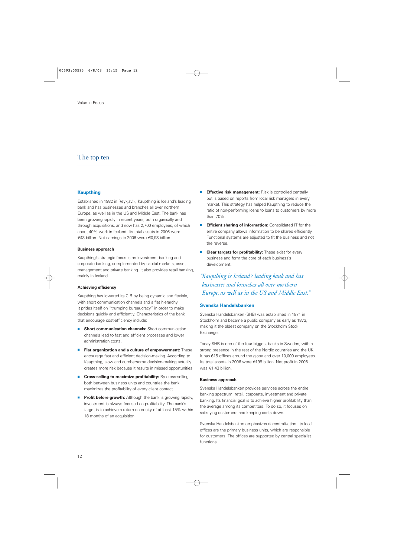#### **Kaupthing**

Established in 1982 in Reykjavik, Kaupthing is Iceland's leading bank and has businesses and branches all over northern Europe, as well as in the US and Middle East. The bank has been growing rapidly in recent years, both organically and through acquisitions, and now has 2,700 employees, of which about 40% work in Iceland. Its total assets in 2006 were €43 billion. Net earnings in 2006 were €0,98 billion.

#### **Business approach**

Kaupthing's strategic focus is on investment banking and corporate banking, complemented by capital markets, asset management and private banking. It also provides retail banking, mainly in Iceland.

#### **Achieving efficiency**

Kaupthing has lowered its CIR by being dynamic and flexible, with short communication channels and a flat hierarchy. It prides itself on "trumping bureaucracy" in order to make decisions quickly and efficiently. Characteristics of the bank that encourage cost-efficiency include:

- **Short communication channels:** Short communication channels lead to fast and efficient processes and lower administration costs.
- **Flat organization and a culture of empowerment:** These encourage fast and efficient decision-making. According to Kaupthing, slow and cumbersome decision-making actually creates more risk because it results in missed opportunities.
- **Cross-selling to maximize profitability:** By cross-selling both between business units and countries the bank maximizes the profitability of every client contact.
- **Profit before growth:** Although the bank is growing rapidly, investment is always focused on profitability. The bank's target is to achieve a return on equity of at least 15% within 18 months of an acquisition.
- **Effective risk management:** Risk is controlled centrally but is based on reports from local risk managers in every market. This strategy has helped Kaupthing to reduce the ratio of non-performing loans to loans to customers by more than 70%.
- **Efficient sharing of information:** Consolidated IT for the entire company allows information to be shared efficiently. Functional systems are adjusted to fit the business and not the reverse.
- **Clear targets for profitability:** These exist for every business and form the core of each business's development.

*"Kaupthing is Iceland's leading bank and has businesses and branches all over northern Europe, as well as in the US and Middle East."*

#### **Svenska Handelsbanken**

Svenska Handelsbanken (SHB) was established in 1871 in Stockholm and became a public company as early as 1873, making it the oldest company on the Stockholm Stock Exchange.

Today SHB is one of the four biggest banks in Sweden, with a strong presence in the rest of the Nordic countries and the UK. It has 615 offices around the globe and over 10,000 employees. Its total assets in 2006 were €198 billion. Net profit in 2006 was €1,43 billion.

#### **Business approach**

Svenska Handelsbanken provides services across the entire banking spectrum: retail, corporate, investment and private banking. Its financial goal is to achieve higher profitability than the average among its competitors. To do so, it focuses on satisfying customers and keeping costs down.

Svenska Handelsbanken emphasizes decentralization. Its local offices are the primary business units, which are responsible for customers. The offices are supported by central specialist functions.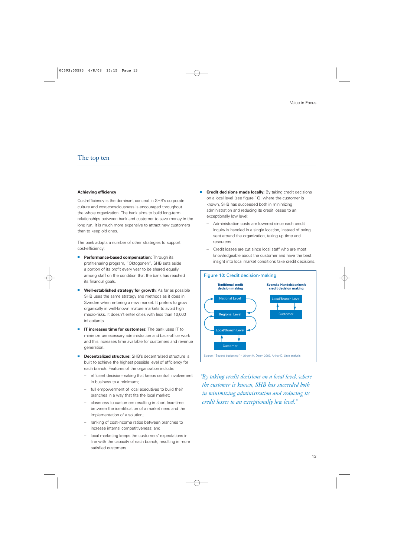#### **Achieving efficiency**

Cost-efficiency is the dominant concept in SHB's corporate culture and cost-consciousness is encouraged throughout the whole organization. The bank aims to build long-term relationships between bank and customer to save money in the long run. It is much more expensive to attract new customers than to keep old ones.

The bank adopts a number of other strategies to support cost-efficiency:

- **Performance-based compensation:** Through its profit-sharing program, "Oktogonen", SHB sets aside a portion of its profit every year to be shared equally among staff on the condition that the bank has reached its financial goals.
- Well-established strategy for growth: As far as possible SHB uses the same strategy and methods as it does in Sweden when entering a new market. It prefers to grow organically in well-known mature markets to avoid high macro-risks. It doesn't enter cities with less than 10,000 inhabitants.
- **IT increases time for customers:** The bank uses IT to minimize unnecessary administration and back-office work and this increases time available for customers and revenue generation.
- **Decentralized structure:** SHB's decentralized structure is built to achieve the highest possible level of efficiency for each branch. Features of the organization include:
	- efficient decision-making that keeps central involvement in business to a minimum;
	- full empowerment of local executives to build their branches in a way that fits the local market;
	- closeness to customers resulting in short lead-time between the identification of a market need and the implementation of a solution;
	- ranking of cost-income ratios between branches to increase internal competitiveness; and
	- local marketing keeps the customers' expectations in line with the capacity of each branch, resulting in more satisfied customers.
- **Credit decisions made locally:** By taking credit decisions on a local level (see figure 10), where the customer is known, SHB has succeeded both in minimizing administration and reducing its credit losses to an exceptionally low level:
	- Administration costs are lowered since each credit inquiry is handled in a single location, instead of being sent around the organization, taking up time and resources.
	- Credit losses are cut since local staff who are most knowledgeable about the customer and have the best insight into local market conditions take credit decisions.



*"By taking credit decisions on a local level, where the customer is known, SHB has succeeded both in minimizing administration and reducing its credit losses to an exceptionally low level."*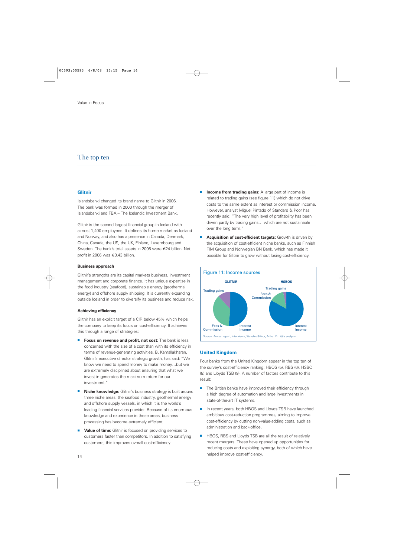#### **Glitnir**

Islandsbanki changed its brand name to Glitnir in 2006. The bank was formed in 2000 through the merger of Islandsbanki and FBA – The Icelandic Investment Bank.

Glitnir is the second largest financial group in Iceland with almost 1,400 employees. It defines its home market as Iceland and Norway, and also has a presence in Canada, Denmark, China, Canada, the US, the UK, Finland, Luxembourg and Sweden. The bank's total assets in 2006 were €24 billion. Net profit in 2006 was €0,43 billion.

#### **Business approach**

Glitnir's strengths are its capital markets business, investment management and corporate finance. It has unique expertise in the food industry (seafood), sustainable energy (geothermal energy) and offshore supply shipping. It is currently expanding outside Iceland in order to diversify its business and reduce risk.

#### **Achieving efficiency**

Glitnir has an explicit target of a CIR below 45% which helps the company to keep its focus on cost-efficiency. It achieves this through a range of strategies:

- **Focus on revenue and profit, not cost:** The bank is less concerned with the size of a cost than with its efficiency in terms of revenue-generating activities. B. Kamallakharan, Glitnir's executive director strategic growth, has said: "We know we need to spend money to make money…but we are extremely disciplined about ensuring that what we invest in generates the maximum return for our investment."
- **Niche knowledge:** Glitnir's business strategy is built around three niche areas: the seafood industry, geothermal energy and offshore supply vessels, in which it is the world's leading financial services provider. Because of its enormous knowledge and experience in these areas, business processing has become extremely efficient.
- **Value of time:** Glitnir is focused on providing services to customers faster than competitors. In addition to satisfying customers, this improves overall cost-efficiency.
- **Income from trading gains:** A large part of income is related to trading gains (see figure 11) which do not drive costs to the same extent as interest or commission income. However, analyst Miguel Pintado of Standard & Poor has recently said: "The very high level of profitability has been driven partly by trading gains… which are not sustainable over the long term."
- **Acquisition of cost-efficient targets:** Growth is driven by the acquisition of cost-efficient niche banks, such as Finnish FIM Group and Norwegian BN Bank, which has made it possible for Glitnir to grow without losing cost-efficiency.



#### **United Kingdom**

Four banks from the United Kingdom appear in the top ten of the survey's cost-efficiency ranking: HBOS (5), RBS (6), HSBC (8) and Lloyds TSB (9). A number of factors contribute to this result:

- The British banks have improved their efficiency through a high degree of automation and large investments in state-of-the-art IT systems.
- In recent years, both HBOS and Lloyds TSB have launched ambitious cost-reduction programmes, aiming to improve cost-efficiency by cutting non-value-adding costs, such as administration and back-office.
- HBOS, RBS and Lloyds TSB are all the result of relatively recent mergers. These have opened up opportunities for reducing costs and exploiting synergy, both of which have helped improve cost-efficiency.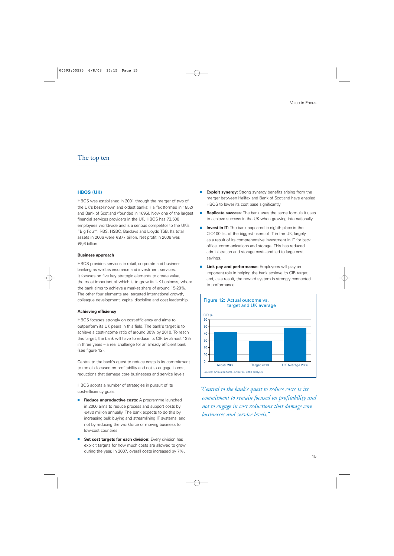#### **HBOS (UK)**

HBOS was established in 2001 through the merger of two of the UK's best-known and oldest banks: Halifax (formed in 1852) and Bank of Scotland (founded in 1695). Now one of the largest financial services providers in the UK, HBOS has 73,500 employees worldwide and is a serious competitor to the UK's "Big Four": RBS, HSBC, Barclays and Lloyds TSB. Its total assets in 2006 were €877 billion. Net profit in 2006 was €5,6 billion.

#### **Business approach**

HBOS provides services in retail, corporate and business banking as well as insurance and investment services. It focuses on five key strategic elements to create value, the most important of which is to grow its UK business, where the bank aims to achieve a market share of around 15-20%. The other four elements are: targeted international growth, colleague development, capital discipline and cost leadership.

#### **Achieving efficiency**

HBOS focuses strongly on cost-efficiency and aims to outperform its UK peers in this field. The bank's target is to achieve a cost-income ratio of around 30% by 2010. To reach this target, the bank will have to reduce its CIR by almost 13% in three years – a real challenge for an already efficient bank (see figure 12).

Central to the bank's quest to reduce costs is its commitment to remain focused on profitability and not to engage in cost reductions that damage core businesses and service levels.

HBOS adopts a number of strategies in pursuit of its cost-efficiency goals:

- **Reduce unproductive costs:** A programme launched in 2006 aims to reduce process and support costs by €430 million annually. The bank expects to do this by increasing bulk buying and streamlining IT systems, and not by reducing the workforce or moving business to low-cost countries.
- **Set cost targets for each division:** Every division has explicit targets for how much costs are allowed to grow during the year. In 2007, overall costs increased by 7%.
- **Exploit synergy:** Strong synergy benefits arising from the merger between Halifax and Bank of Scotland have enabled HBOS to lower its cost base significantly.
- **Replicate success:** The bank uses the same formula it uses to achieve success in the UK when growing internationally.
- **Invest in IT:** The bank appeared in eighth place in the CIO100 list of the biggest users of IT in the UK, largely as a result of its comprehensive investment in IT for back office, communications and storage. This has reduced administration and storage costs and led to large cost savings.
- **Link pay and performance:** Employees will play an important role in helping the bank achieve its CIR target and, as a result, the reward system is strongly connected to performance.



*"Central to the bank's quest to reduce costs is its commitment to remain focused on profitability and not to engage in cost reductions that damage core businesses and service levels."*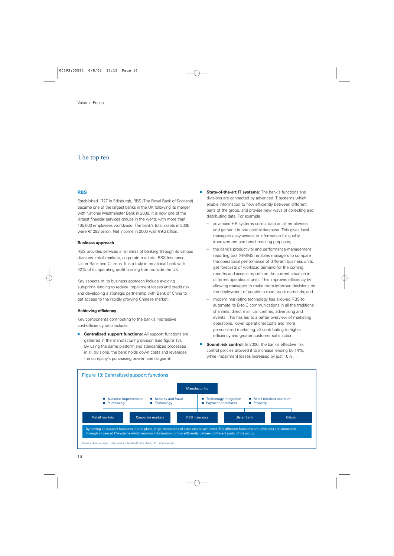#### **RBS**

Established 1727 in Edinburgh, RBS (The Royal Bank of Scotland) became one of the largest banks in the UK following its merger with National Westminster Bank in 2000. It is now one of the largest financial services groups in the world, with more than 135,000 employees worldwide. The bank's total assets in 2006 were €1293 billion. Net income in 2006 was €9,3 billion.

#### **Business approach**

RBS provides services in all areas of banking through its various divisions: retail markets, corporate markets, RBS Insurance, Ulster Bank and Citizens. It is a truly international bank with 42% of its operating profit coming from outside the UK.

Key aspects of its business approach include avoiding sub-prime lending to reduce impairment losses and credit risk, and developing a strategic partnership with Bank of China to get access to the rapidly growing Chinese market.

#### **Achieving efficiency**

Key components contributing to the bank's impressive cost-efficiency ratio include:

■ **Centralized support functions:** All support functions are gathered in the manufacturing division (see figure 13). By using the same platform and standardized processes in all divisions, the bank holds down costs and leverages the company's purchasing power (see diagram).

- **State-of-the-art IT systems:** The bank's functions and divisions are connected by advanced IT systems which enable information to flow efficiently between different parts of the group, and provide new ways of collecting and distributing data. For example:
	- advanced HR systems collect data on all employees and gather it in one central database. This gives local managers easy access to information for quality improvement and benchmarking purposes;
	- the bank's productivity and performance-management reporting tool (PIMMS) enables managers to compare the operational performance of different business units, get forecasts of workload demand for the coming months and access reports on the current situation in different operational units. This improves efficiency by allowing managers to make more-informed decisions on the deployment of people to meet work demands; and
	- modern marketing technology has allowed RBS to automate its B-to-C communications in all the traditional channels: direct mail, call centres, advertising and events. This has led to a better overview of marketing operations, lower operational costs and more personalized marketing, all contributing to higher efficiency and greater customer satisfaction.
- **Sound risk control:** In 2006, the bank's effective risk control policies allowed it to increase lending by 14%, while impairment losses increased by just 10%.

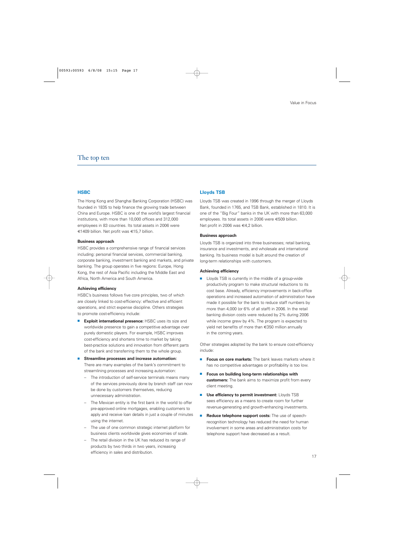#### **HSBC**

The Hong Kong and Shanghai Banking Corporation (HSBC) was founded in 1835 to help finance the growing trade between China and Europe. HSBC is one of the world's largest financial institutions, with more than 10,000 offices and 312,000 employees in 83 countries. Its total assets in 2006 were €1409 billion. Net profit was €15,7 billion.

#### **Business approach**

HSBC provides a comprehensive range of financial services including: personal financial services, commercial banking, corporate banking, investment banking and markets, and private banking. The group operates in five regions: Europe, Hong Kong, the rest of Asia Pacific including the Middle East and Africa, North America and South America.

#### **Achieving efficiency**

HSBC's business follows five core principles, two of which are closely linked to cost-efficiency: effective and efficient operations, and strict expense discipline. Others strategies to promote cost-efficiency include:

- **Exploit international presence:** HSBC uses its size and worldwide presence to gain a competitive advantage over purely domestic players. For example, HSBC improves cost-efficiency and shortens time to market by taking best-practice solutions and innovation from different parts of the bank and transferring them to the whole group.
- **Streamline processes and increase automation:** There are many examples of the bank's commitment to streamlining processes and increasing automation:
	- The introduction of self-service terminals means many of the services previously done by branch staff can now be done by customers themselves, reducing unnecessary administration.
	- The Mexican entity is the first bank in the world to offer pre-approved online mortgages, enabling customers to apply and receive loan details in just a couple of minutes using the internet.
	- The use of one common strategic internet platform for business clients worldwide gives economies of scale.
	- The retail division in the UK has reduced its range of products by two thirds in two years, increasing efficiency in sales and distribution.

#### **Lloyds TSB**

Lloyds TSB was created in 1996 through the merger of Lloyds Bank, founded in 1765, and TSB Bank, established in 1810. It is one of the "Big Four" banks in the UK with more than 63,000 employees. Its total assets in 2006 were €509 billion. Net profit in 2006 was €4,2 billion.

#### **Business approach**

Lloyds TSB is organized into three businesses; retail banking, insurance and investments, and wholesale and international banking. Its business model is built around the creation of long-term relationships with customers.

#### **Achieving efficiency**

■ Lloyds TSB is currently in the middle of a group-wide productivity program to make structural reductions to its cost base. Already, efficiency improvements in back-office operations and increased automation of administration have made it possible for the bank to reduce staff numbers by more than 4,000 (or 6% of all staff) in 2006. In the retail banking division costs were reduced by 2% during 2006 while income grew by 4%. The program is expected to yield net benefits of more than €350 million annually in the coming years.

Other strategies adopted by the bank to ensure cost-efficiency include:

- **Focus on core markets:** The bank leaves markets where it has no competitive advantages or profitability is too low.
- **Focus on building long-term relationships with customers:** The bank aims to maximize profit from every client meeting.
- **Use efficiency to permit investment:** Lloyds TSB sees efficiency as a means to create room for further revenue-generating and growth-enhancing investments.
- **Reduce telephone support costs:** The use of speechrecognition technology has reduced the need for human involvement in some areas and administration costs for telephone support have decreased as a result.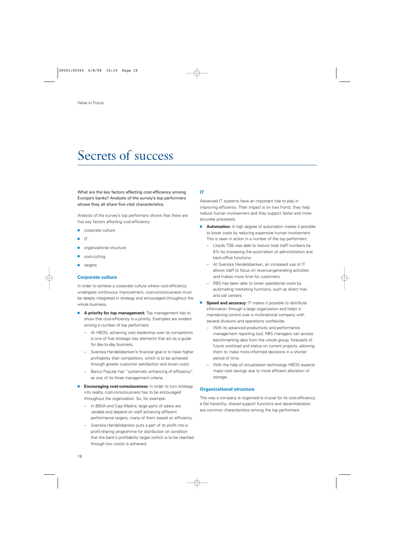## Secrets of success

What are the key factors affecting cost-efficiency among Europe's banks? Analysis of the survey's top performers shows they all share five vital characteristics.

Analysis of the survey's top performers shows that there are five key factors affecting cost-efficiency:

- corporate culture
- IT
- organizational structure
- cost-cutting
- targets

#### **Corporate culture**

In order to achieve a corporate culture where cost-efficiency undergoes continuous improvement, cost-consciousness must be deeply integrated in strategy and encouraged throughout the whole business.

- **A priority for top management:** Top management has to show that cost-efficiency is a priority. Examples are evident among a number of top performers:
	- At HBOS, achieving cost leadership over its competitors is one of five strategic key elements that act as a guide for day-to-day business.
	- Svenska Handelsbanken's financial goal is to have higher profitability than competitors, which is to be achieved through greater customer satisfaction and lower costs.
	- Banco Popular has "systematic enhancing of efficiency" as one of its three management criteria. .
- **Encouraging cost-consciousness:** In order to turn strategy into reality, cost-consciousness has to be encouraged throughout the organization. So, for example:
	- In BBVA and Caja Madrid, large parts of salary are variable and depend on staff achieving different performance targets, many of them based on efficiency.
	- Svenska Handelsbanken puts a part of its profit into a profit-sharing programme for distribution on condition that the bank's profitability target (which is to be reached through low costs) is achieved.

#### **IT**

Advanced IT systems have an important role to play in improving efficiency. Their impact is on two fronts: they help reduce human involvement and they support faster and more accurate processes.

- **Automation:** A high degree of automation makes it possible to lower costs by reducing expensive human involvement. This is seen in action in a number of the top performers:
	- Lloyds TSB was able to reduce total staff numbers by 6% by increasing the automation of administration and back-office functions.
	- At Svenska Handelsbanken, an increased use of IT allows staff to focus on revenue-generating activities and makes more time for customers.
	- RBS has been able to lower operational costs by automating marketing functions, such as direct mail and call centers.
- **Speed and accuracy:** IT makes it possible to distribute information through a large organization and helps in maintaining control over a multinational company with several divisions and operations worldwide.
	- With its advanced productivity and performancemanagement reporting tool, RBS managers can access benchmarking data from the whole group, forecasts of future workload and status on current projects, allowing them to make more-informed decisions in a shorter period of time.
	- With the help of virtualization technology HBOS expects major cost savings due to more efficient allocation of storage.

#### **Organizational structure**

The way a company is organized is crucial for its cost-efficiency: a flat hierarchy, shared support functions and decentralization are common characteristics among the top performers.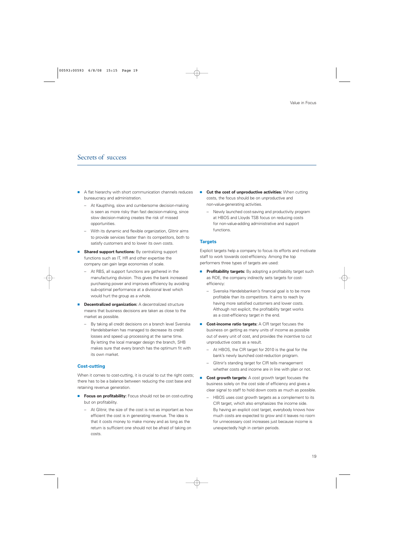## Secrets of success

- A flat hierarchy with short communication channels reduces bureaucracy and administration.
	- At Kaupthing, slow and cumbersome decision-making is seen as more risky than fast decision-making, since slow decision-making creates the risk of missed opportunities.
	- With its dynamic and flexible organization, Glitnir aims to provide services faster than its competitors, both to satisfy customers and to lower its own costs.
- **Shared support functions:** By centralizing support functions such as IT, HR and other expertise the company can gain large economies of scale.
	- At RBS, all support functions are gathered in the manufacturing division. This gives the bank increased purchasing power and improves efficiency by avoiding sub-optimal performance at a divisional level which would hurt the group as a whole.
- **Decentralized organization:** A decentralized structure means that business decisions are taken as close to the market as possible.
	- By taking all credit decisions on a branch level Svenska Handelsbanken has managed to decrease its credit losses and speed up processing at the same time. By letting the local manager design the branch, SHB makes sure that every branch has the optimum fit with its own market.

#### **Cost-cutting**

When it comes to cost-cutting, it is crucial to cut the right costs; there has to be a balance between reducing the cost base and retaining revenue generation.

- **Focus on profitability:** Focus should not be on cost-cutting but on profitability.
	- At Glitnir, the size of the cost is not as important as how efficient the cost is in generating revenue. The idea is that it costs money to make money and as long as the return is sufficient one should not be afraid of taking on costs.
- **Cut the cost of unproductive activities:** When cutting costs, the focus should be on unproductive and non-value-generating activities.
	- Newly launched cost-saving and productivity program at HBOS and Lloyds TSB focus on reducing costs for non-value-adding administrative and support functions.

#### **Targets**

Explicit targets help a company to focus its efforts and motivate staff to work towards cost-efficiency. Among the top performers three types of targets are used:

- **Profitability targets:** By adopting a profitability target such as ROE, the company indirectly sets targets for costefficiency:
	- Svenska Handelsbanken's financial goal is to be more profitable than its competitors. It aims to reach by having more satisfied customers and lower costs. Although not explicit, the profitability target works as a cost-efficiency target in the end.
- **Cost-income ratio targets:** A CIR target focuses the business on getting as many units of income as possible out of every unit of cost, and provides the incentive to cut unproductive costs as a result.
	- At HBOS, the CIR target for 2010 is the goal for the bank's newly launched cost-reduction program.
	- Glitnir's standing target for CIR tells management whether costs and income are in line with plan or not.
- **Cost growth targets:** A cost growth target focuses the business solely on the cost side of efficiency and gives a clear signal to staff to hold down costs as much as possible.
	- HBOS uses cost growth targets as a complement to its CIR target, which also emphasizes the income side. By having an explicit cost target, everybody knows how much costs are expected to grow and it leaves no room for unnecessary cost increases just because income is unexpectedly high in certain periods.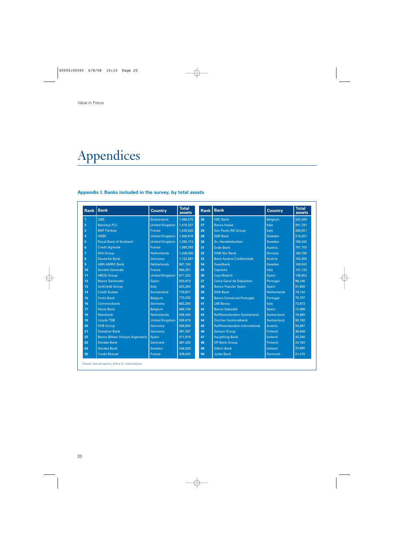## Appendices

### **Appendix I: Banks included in the survey, by total assets**

|                | <b>Rank Bank</b>                | <b>Country</b>        | <b>Total</b><br>assets |    | <b>Rank Bank</b>                  | <b>Country</b>     | <b>Total</b><br>assets |
|----------------|---------------------------------|-----------------------|------------------------|----|-----------------------------------|--------------------|------------------------|
| $\overline{1}$ | <b>UBS</b>                      | Switzerland           | 1,486,575              | 26 | <b>KBC Bank</b>                   | <b>Belgium</b>     | 325,400                |
| $\overline{2}$ | <b>Barclays PLC</b>             | United Kingdom        | 1,478,327              | 27 | <b>Banca Intesa</b>               | Italy              | 291,781                |
| 3              | <b>BNP Paribas</b>              | France                | 1,438,826              | 28 | <b>San Paolo IMI Group</b>        | Italy              | 288,551                |
| 4              | <b>HSBC</b>                     | United Kingdom        | 1,408,818              | 29 | <b>SEB Bank</b>                   | Sweden             | 214,257                |
| 5              | <b>Roval Bank of Scotland</b>   | <b>United Kingdom</b> | 1,293,174              | 30 | Sv. Handelsbanken                 | <b>Sweden</b>      | 198.345                |
| 6              | <b>Credit Agricole</b>          | <b>France</b>         | 1,260,252              | 31 | <b>Erste Bank</b>                 | Austria            | 181,703                |
| 7              | <b>ING Group</b>                | <b>Netherlands</b>    | 1,226,000              | 32 | <b>DNB Nor Bank</b>               | Norway             | 160.799                |
| 8              | <b>Deutsche Bank</b>            | Germany               | 1,122,587              | 33 | <b>Bank Austria Creditanstalt</b> | Austria            | 153,355                |
| 9              | <b>ABN AMRO Bank</b>            | <b>Netherlands</b>    | 987,100                | 34 | <b>Swedbank</b>                   | Sweden             | 149.942                |
| 10             | <b>Societe Generale</b>         | France                | 956.201                | 35 | Capitalia                         | Italy              | 137.132                |
| 11             | <b>HBOS Group</b>               | <b>United Kingdom</b> | 877,223                | 36 | <b>Caja Madrid</b>                | Spain              | 136.952                |
| 12             | <b>Banco Santander</b>          | Spain                 | 833,873                | 37 | <b>Caixa Geral de Depositos</b>   | Portugal           | 96.246                 |
| 13             | <b>UniCredit Group</b>          | Italy                 | 823,284                | 38 | <b>Banco Popular Spain</b>        | Spain              | 91,650                 |
| 14             | <b>Credit Suisse</b>            | Switzerland           | 776.977                | 39 | <b>SNS Bank</b>                   | <b>Netherlands</b> | 79.742                 |
| 15             | <b>Fortis Bank</b>              | <b>Belgium</b>        | 773.235                | 40 | <b>Banco Comercial Portuges</b>   | Portugal           | 78.707                 |
| 16             | Commerzbank                     | Germany               | 603.293                | 41 | <b>UBI Banca</b>                  | Italy              | 73.873                 |
| 17             | <b>Dexia Bank</b>               | <b>Belgium</b>        | 566,700                | 42 | <b>Banco Sabadell</b>             | Spain              | 72.069                 |
| 18             | Rabobank                        | <b>Netherlands</b>    | 556,455                | 43 | Raiffeisenbanken Switzerland      | Switzerland        | 70.865                 |
| 19             | <b>Lloyds TSB</b>               | <b>United Kingdom</b> | 509,978                | 44 | Zürcher Kantonalbank              | Switzerland        | 59.182                 |
| 20             | <b>HVB Group</b>                | Germany               | 508,000                | 45 | Raiffeisenbanken International    | Austria            | 55,867                 |
| 21             | <b>Dresdner Bank</b>            | Germany               | 497.287                | 46 | <b>Sampo Group</b>                | <b>Finland</b>     | 46.946                 |
| 22             | Banco Bilbao Vizcaya Argentaria | Spain                 | 411,916                | 47 | <b>Kaupthing Bank</b>             | <b>Iceland</b>     | 43,200                 |
| 23             | <b>Danske Bank</b>              | <b>Denmark</b>        | 367,423                | 48 | <b>OP Bank Group</b>              | <b>Finland</b>     | 24,192                 |
| 24             | Nordea Bank                     | Sweden                | 346,828                | 49 | <b>Glitnir Bank</b>               | Iceland            | 23.960                 |
| 25             | <b>Credit Mutuel</b>            | France                | 339.025                | 50 | <b>Jyske Bank</b>                 | <b>Denmark</b>     | 21,470                 |

Source: Annual reports, Arthur D. Little analysis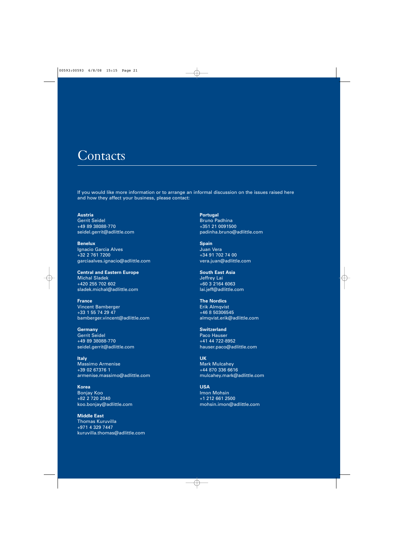## **Contacts**

If you would like more information or to arrange an informal discussion on the issues raised here and how they affect your business, please contact:

**Austria** Gerrit Seidel +49 89 38088-770 seidel.gerrit@adlittle.com

**Benelux** Ignacio Garcia Alves +32 2 761 7200 garciaalves.ignacio@adlittle.com

**Central and Eastern Europe** Michal Sladek +420 255 702 602 sladek.michal@adlittle.com

**France** Vincent Bamberger +33 1 55 74 29 47 bamberger.vincent@adlittle.com

**Germany** Gerrit Seidel +49 89 38088-770 seidel.gerrit@adlittle.com

**Italy** Massimo Armenise +39 02 67376 1 armenise.massimo@adlittle.com

**Korea** Bonjay Koo +82 2 720 2040 koo.bonjay@adlittle.com

**Middle East** Thomas Kuruvilla +971 4 329 7447 kuruvilla.thomas@adlittle.com **Portugal** Bruno Padhina +351 21 0091500 padinha.bruno@adlittle.com

**Spain** Juan Vera +34 91 702 74 00 vera.juan@adlittle.com

**South East Asia** Jeffrey Lai +60 3 2164 6063 lai.jeff@adlittle.com

**The Nordics** Erik Almqvist +46 8 50306545 almqvist.erik@adlittle.com

**Switzerland** Paco Hauser +41 44 722-8952 hauser.paco@adlittle.com

**UK** Mark Mulcahey +44 870 336 6616 mulcahey.mark@adlittle.com

**USA** Imon Mohsin +1 212 661 2500 mohsin.imon@adlittle.com